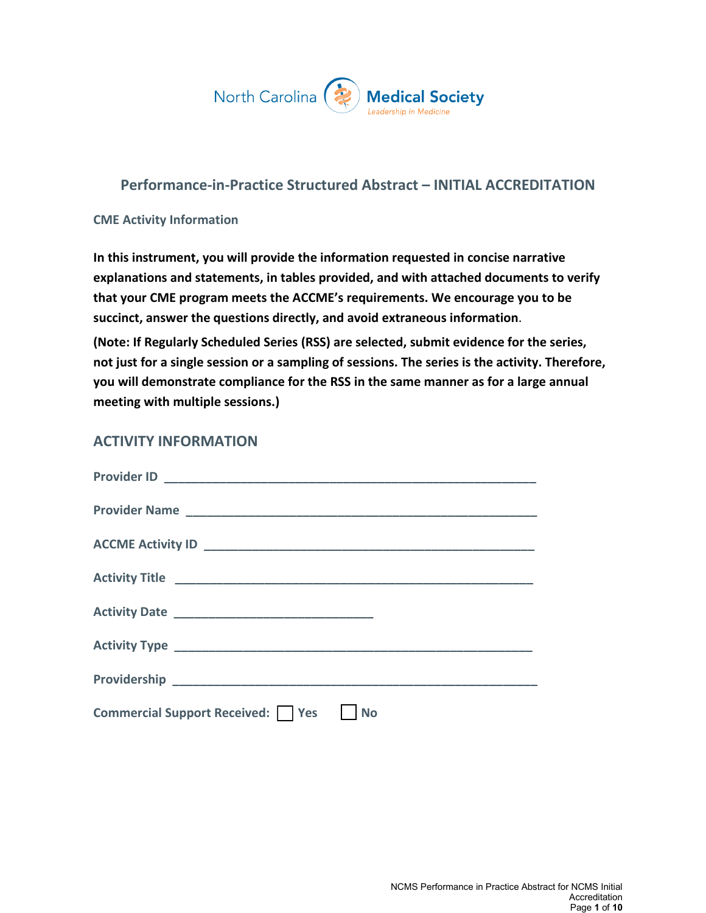

# **Performance-in-Practice Structured Abstract – INITIAL ACCREDITATION**

#### **CME Activity Information**

**In this instrument, you will provide the information requested in concise narrative explanations and statements, in tables provided, and with attached documents to verify that your CME program meets the ACCME's requirements. We encourage you to be succinct, answer the questions directly, and avoid extraneous information**.

**(Note: If Regularly Scheduled Series (RSS) are selected, submit evidence for the series, not just for a single session or a sampling of sessions. The series is the activity. Therefore, you will demonstrate compliance for the RSS in the same manner as for a large annual meeting with multiple sessions.)**

### **ACTIVITY INFORMATION**

| Commercial Support Received:     Yes     No |
|---------------------------------------------|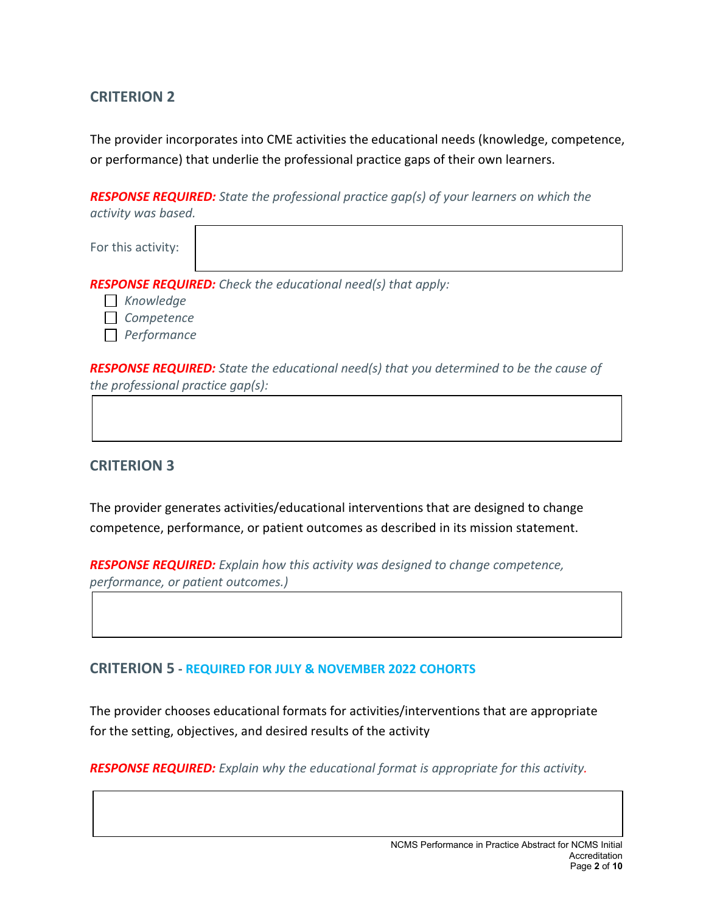## **CRITERION 2**

The provider incorporates into CME activities the educational needs (knowledge, competence, or performance) that underlie the professional practice gaps of their own learners.

*RESPONSE REQUIRED: State the professional practice gap(s) of your learners on which the activity was based.*

|  | For this activity: |
|--|--------------------|
|--|--------------------|

*RESPONSE REQUIRED: Check the educational need(s) that apply:* 

- *Knowledge*
- *Competence*
- *Performance*

*RESPONSE REQUIRED: State the educational need(s) that you determined to be the cause of the professional practice gap(s):* 

### **CRITERION 3**

The provider generates activities/educational interventions that are designed to change competence, performance, or patient outcomes as described in its mission statement.

*RESPONSE REQUIRED: Explain how this activity was designed to change competence, performance, or patient outcomes.)*

### **CRITERION 5 - REQUIRED FOR JULY & NOVEMBER 2022 COHORTS**

The provider chooses educational formats for activities/interventions that are appropriate for the setting, objectives, and desired results of the activity

*RESPONSE REQUIRED: Explain why the educational format is appropriate for this activity.*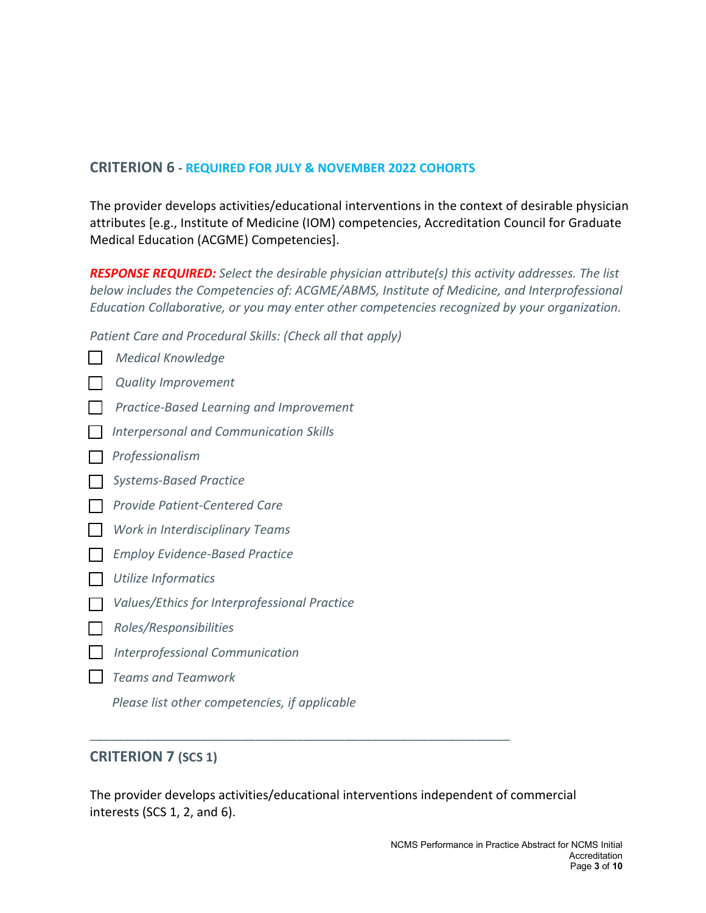### **CRITERION 6 - REQUIRED FOR JULY & NOVEMBER 2022 COHORTS**

The provider develops activities/educational interventions in the context of desirable physician attributes [e.g., Institute of Medicine (IOM) competencies, Accreditation Council for Graduate Medical Education (ACGME) Competencies].

*RESPONSE REQUIRED: Select the desirable physician attribute(s) this activity addresses. The list below includes the Competencies of: ACGME/ABMS, Institute of Medicine, and Interprofessional Education Collaborative, or you may enter other competencies recognized by your organization.*

*Patient Care and Procedural Skills: (Check all that apply)* 

*Medical Knowledge Quality Improvement Practice-Based Learning and Improvement Interpersonal and Communication Skills Professionalism Systems-Based Practice Provide Patient-Centered Care Work in Interdisciplinary Teams Employ Evidence-Based Practice Utilize Informatics Values/Ethics for Interprofessional Practice ZŽůĞƐͬZĞƐƉŽŶƐŝďŝůŝƚŝĞƐ Interprofessional Communication Teams and Teamwork Please list other competencies, if applicable*

## **CRITERION 7 (SCS 1)**

The provider develops activities/educational interventions independent of commercial interests (SCS 1, 2, and 6).

\_\_\_\_\_\_\_\_\_\_\_\_\_\_\_\_\_\_\_\_\_\_\_\_\_\_\_\_\_\_\_\_\_\_\_\_\_\_\_\_\_\_\_\_\_\_\_\_\_\_\_\_\_\_\_\_\_\_\_\_\_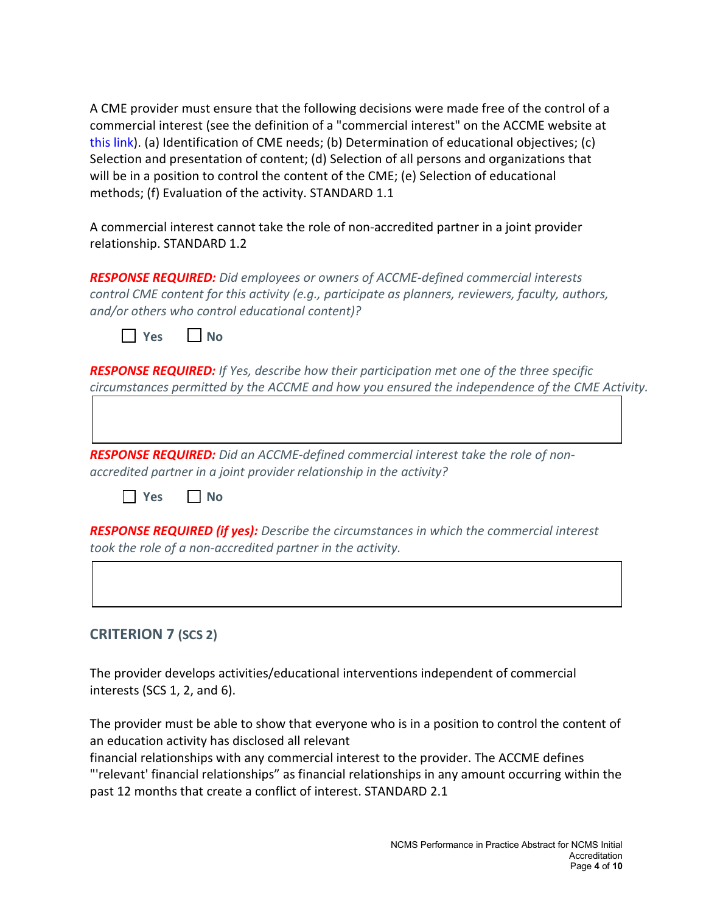A CME provider must ensure that the following decisions were made free of the control of a commercial interest (see the definition of a "commercial interest" on the ACCME website at this [link\).](http://www.accme.org/requirements/accreditation-requirements-cme-providers/policies-and-definitions/definition-commercial-interest) (a) Identification of CME needs; (b) Determination of educational objectives; (c) Selection and presentation of content; (d) Selection of all persons and organizations that will be in a position to control the content of the CME; (e) Selection of educational methods; (f) Evaluation of the activity. STANDARD 1.1

A commercial interest cannot take the role of non-accredited partner in a joint provider relationship. STANDARD 1.2

*RESPONSE REQUIRED: Did employees or owners of ACCME-defined commercial interests control CME content for this activity (e.g., participate as planners, reviewers, faculty, authors, and/or others who control educational content)?* 

|  | NO |
|--|----|
|--|----|

*RESPONSE REQUIRED: If Yes, describe how their participation met one of the three specific circumstances permitted by the ACCME and how you ensured the independence of the CME Activity.*

*RESPONSE REQUIRED: Did an ACCME-defined commercial interest take the role of nonaccredited partner in a joint provider relationship in the activity?* 

**Yes No**

*RESPONSE REQUIRED (if yes): Describe the circumstances in which the commercial interest took the role of a non-accredited partner in the activity.* 

## **CRITERION 7 (SCS 2)**

The provider develops activities/educational interventions independent of commercial interests (SCS 1, 2, and 6).

The provider must be able to show that everyone who is in a position to control the content of an education activity has disclosed all relevant

financial relationships with any commercial interest to the provider. The ACCME defines "'relevant' financial relationships" as financial relationships in any amount occurring within the past 12 months that create a conflict of interest. STANDARD 2.1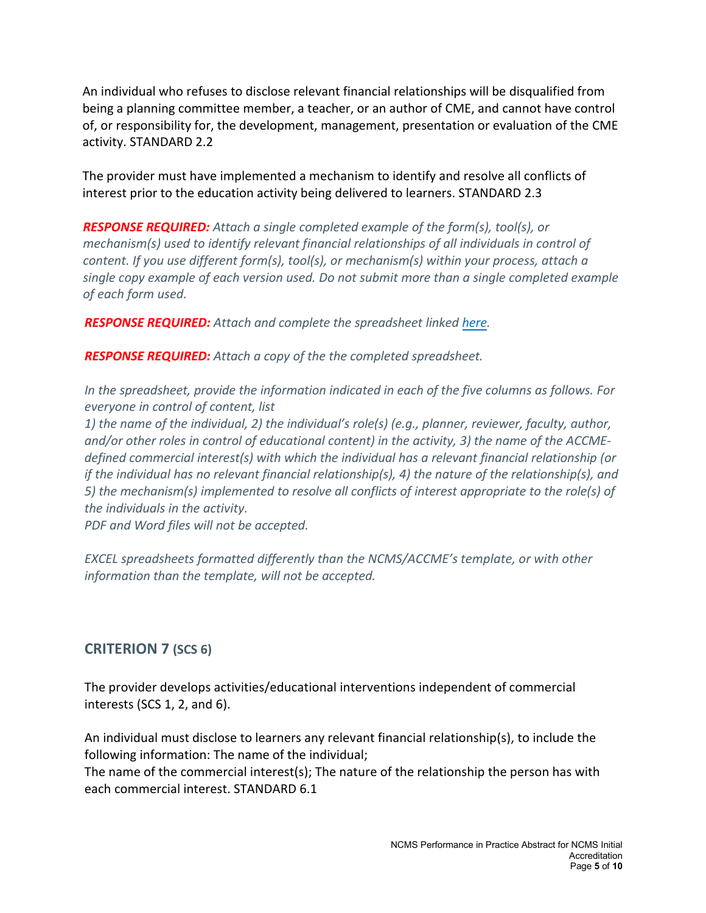An individual who refuses to disclose relevant financial relationships will be disqualified from being a planning committee member, a teacher, or an author of CME, and cannot have control of, or responsibility for, the development, management, presentation or evaluation of the CME activity. STANDARD 2.2

The provider must have implemented a mechanism to identify and resolve all conflicts of interest prior to the education activity being delivered to learners. STANDARD 2.3

*RESPONSE REQUIRED: Attach a single completed example of the form(s), tool(s), or mechanism(s) used to identify relevant financial relationships of all individuals in control of content. If you use different form(s), tool(s), or mechanism(s) within your process, attach a single copy example of each version used. Do not submit more than a single completed example of each form used.* 

*RESPONSE REQUIRED: Attach and complete the spreadsheet linked [here.](https://accme.org/publications/excel-spreadsheet-for-documenting-individuals-control-content-performance-practice)*

*RESPONSE REQUIRED: Attach a copy of the the completed spreadsheet.* 

*In the spreadsheet, provide the information indicated in each of the five columns as follows. For everyone in control of content, list* 

*1) the name of the individual, 2) the individual's role(s) (e.g., planner, reviewer, faculty, author, and/or other roles in control of educational content) in the activity, 3) the name of the ACCMEdefined commercial interest(s) with which the individual has a relevant financial relationship (or if the individual has no relevant financial relationship(s), 4) the nature of the relationship(s), and 5) the mechanism(s) implemented to resolve all conflicts of interest appropriate to the role(s) of the individuals in the activity.*

*PDF and Word files will not be accepted.*

*EXCEL spreadsheets formatted differently than the NCMS/ACCME's template, or with other information than the template, will not be accepted.* 

# **CRITERION 7 (SCS 6)**

The provider develops activities/educational interventions independent of commercial interests (SCS 1, 2, and 6).

An individual must disclose to learners any relevant financial relationship(s), to include the following information: The name of the individual;

The name of the commercial interest(s); The nature of the relationship the person has with each commercial interest. STANDARD 6.1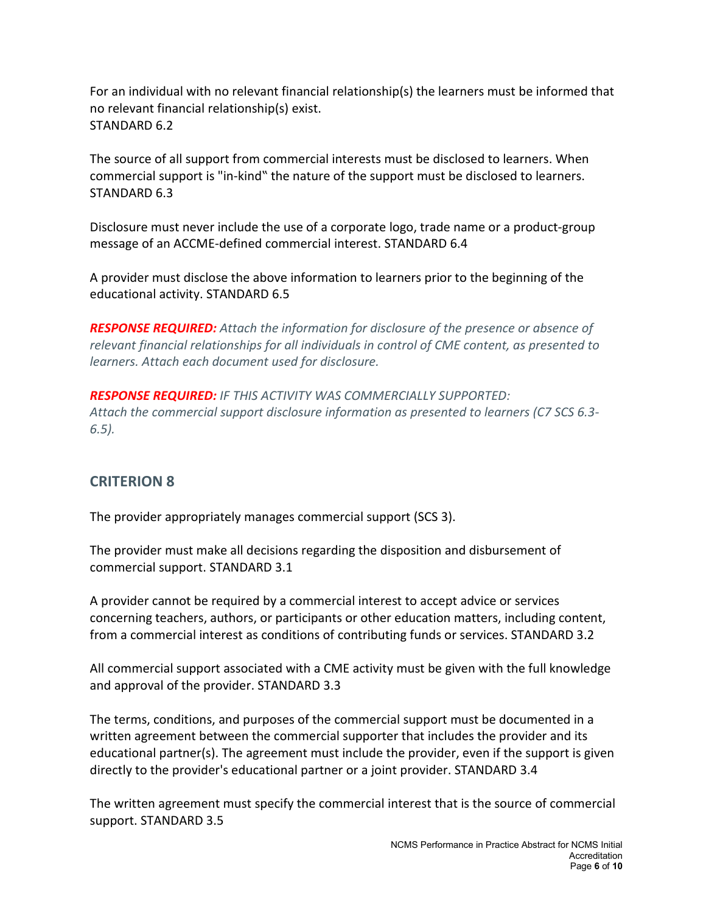For an individual with no relevant financial relationship(s) the learners must be informed that no relevant financial relationship(s) exist. STANDARD 6.2

The source of all support from commercial interests must be disclosed to learners. When commercial support is "in-kind" the nature of the support must be disclosed to learners. STANDARD 6.3

Disclosure must never include the use of a corporate logo, trade name or a product-group message of an ACCME-defined commercial interest. STANDARD 6.4

A provider must disclose the above information to learners prior to the beginning of the educational activity. STANDARD 6.5

*RESPONSE REQUIRED: Attach the information for disclosure of the presence or absence of relevant financial relationships for all individuals in control of CME content, as presented to learners. Attach each document used for disclosure.* 

*RESPONSE REQUIRED: IF THIS ACTIVITY WAS COMMERCIALLY SUPPORTED: Attach the commercial support disclosure information as presented to learners (C7 SCS 6.3- 6.5).* 

# **CRITERION 8**

The provider appropriately manages commercial support (SCS 3).

The provider must make all decisions regarding the disposition and disbursement of commercial support. STANDARD 3.1

A provider cannot be required by a commercial interest to accept advice or services concerning teachers, authors, or participants or other education matters, including content, from a commercial interest as conditions of contributing funds or services. STANDARD 3.2

All commercial support associated with a CME activity must be given with the full knowledge and approval of the provider. STANDARD 3.3

The terms, conditions, and purposes of the commercial support must be documented in a written agreement between the commercial supporter that includes the provider and its educational partner(s). The agreement must include the provider, even if the support is given directly to the provider's educational partner or a joint provider. STANDARD 3.4

The written agreement must specify the commercial interest that is the source of commercial support. STANDARD 3.5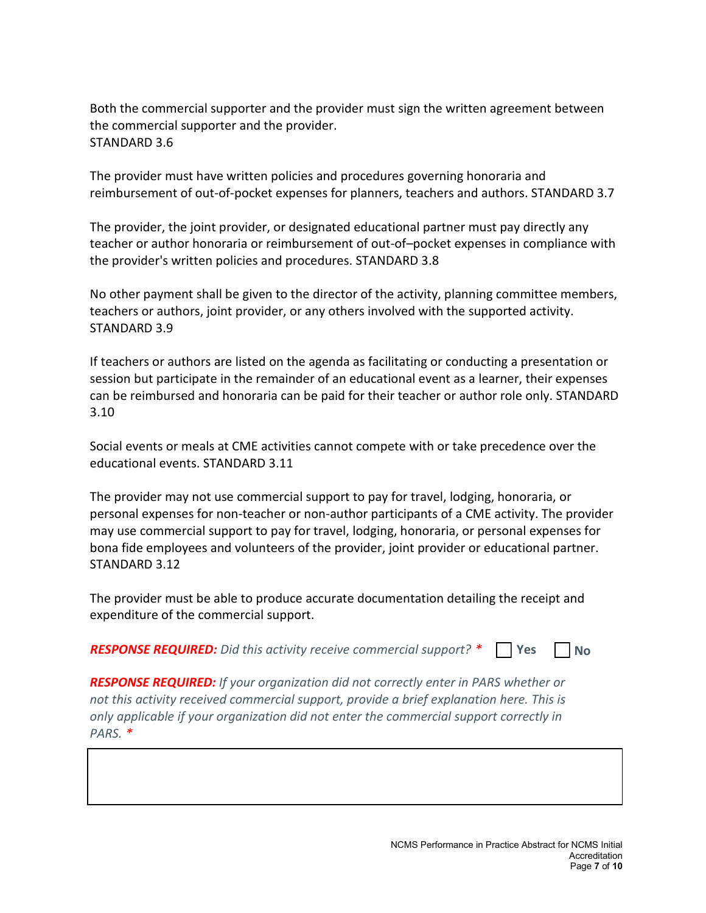Both the commercial supporter and the provider must sign the written agreement between the commercial supporter and the provider. STANDARD 3.6

The provider must have written policies and procedures governing honoraria and reimbursement of out-of-pocket expenses for planners, teachers and authors. STANDARD 3.7

The provider, the joint provider, or designated educational partner must pay directly any teacher or author honoraria or reimbursement of out-of–pocket expenses in compliance with the provider's written policies and procedures. STANDARD 3.8

No other payment shall be given to the director of the activity, planning committee members, teachers or authors, joint provider, or any others involved with the supported activity. STANDARD 3.9

If teachers or authors are listed on the agenda as facilitating or conducting a presentation or session but participate in the remainder of an educational event as a learner, their expenses can be reimbursed and honoraria can be paid for their teacher or author role only. STANDARD 3.10

Social events or meals at CME activities cannot compete with or take precedence over the educational events. STANDARD 3.11

The provider may not use commercial support to pay for travel, lodging, honoraria, or personal expenses for non-teacher or non-author participants of a CME activity. The provider may use commercial support to pay for travel, lodging, honoraria, or personal expenses for bona fide employees and volunteers of the provider, joint provider or educational partner. STANDARD 3.12

The provider must be able to produce accurate documentation detailing the receipt and expenditure of the commercial support.

*RESPONSE REQUIRED: Did this activity receive commercial support? \**  **Yes No**

*RESPONSE REQUIRED: If your organization did not correctly enter in PARS whether or not this activity received commercial support, provide a brief explanation here. This is only applicable if your organization did not enter the commercial support correctly in PARS. \**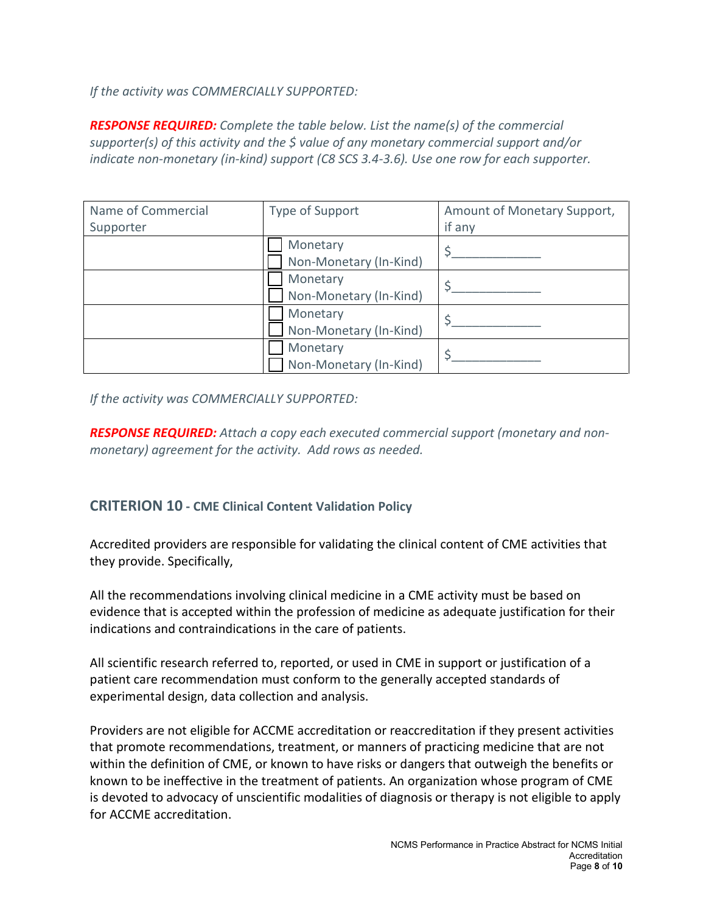*If the activity was COMMERCIALLY SUPPORTED:* 

*RESPONSE REQUIRED: Complete the table below. List the name(s) of the commercial supporter(s) of this activity and the \$ value of any monetary commercial support and/or indicate non-monetary (in-kind) support (C8 SCS 3.4-3.6). Use one row for each supporter.*

| Name of Commercial | Type of Support        | Amount of Monetary Support, |
|--------------------|------------------------|-----------------------------|
| Supporter          |                        | if any                      |
|                    | Monetary               |                             |
|                    | Non-Monetary (In-Kind) |                             |
|                    | Monetary               |                             |
|                    | Non-Monetary (In-Kind) |                             |
|                    | Monetary               |                             |
|                    | Non-Monetary (In-Kind) |                             |
|                    | Monetary               |                             |
|                    | Non-Monetary (In-Kind) |                             |

*If the activity was COMMERCIALLY SUPPORTED:* 

*RESPONSE REQUIRED: Attach a copy each executed commercial support (monetary and nonmonetary) agreement for the activity. Add rows as needed.*

### **CRITERION 10 - CME Clinical Content Validation Policy**

Accredited providers are responsible for validating the clinical content of CME activities that they provide. Specifically,

All the recommendations involving clinical medicine in a CME activity must be based on evidence that is accepted within the profession of medicine as adequate justification for their indications and contraindications in the care of patients.

All scientific research referred to, reported, or used in CME in support or justification of a patient care recommendation must conform to the generally accepted standards of experimental design, data collection and analysis.

Providers are not eligible for ACCME accreditation or reaccreditation if they present activities that promote recommendations, treatment, or manners of practicing medicine that are not within the definition of CME, or known to have risks or dangers that outweigh the benefits or known to be ineffective in the treatment of patients. An organization whose program of CME is devoted to advocacy of unscientific modalities of diagnosis or therapy is not eligible to apply for ACCME accreditation.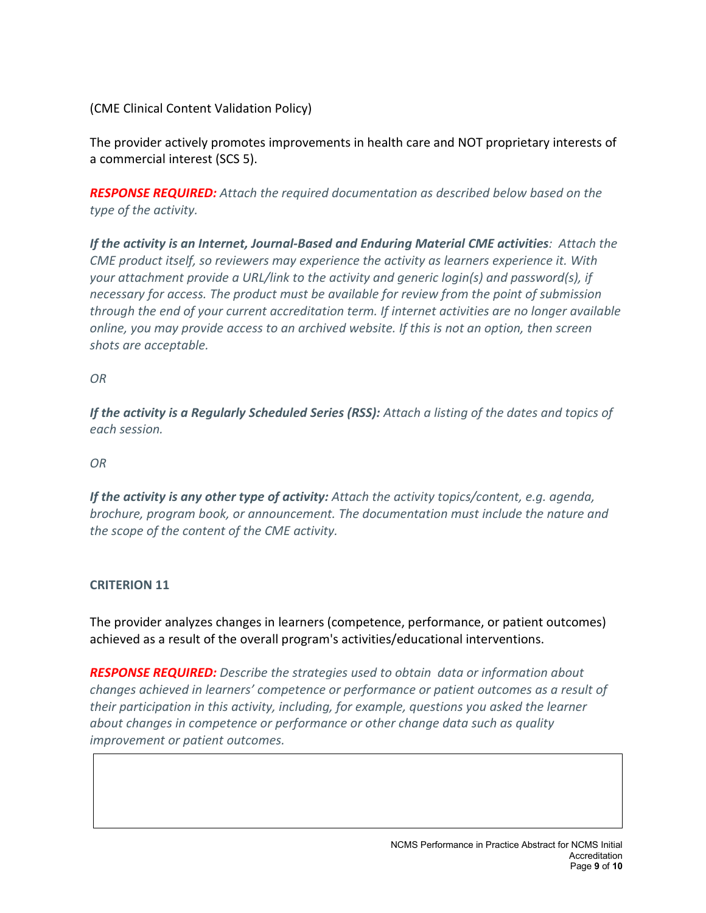(CME Clinical Content Validation Policy)

The provider actively promotes improvements in health care and NOT proprietary interests of a commercial interest (SCS 5).

*RESPONSE REQUIRED: Attach the required documentation as described below based on the type of the activity.* 

*If the activity is an Internet, Journal-Based and Enduring Material CME activities: Attach the CME product itself, so reviewers may experience the activity as learners experience it. With your attachment provide a URL/link to the activity and generic login(s) and password(s), if necessary for access. The product must be available for review from the point of submission through the end of your current accreditation term. If internet activities are no longer available online, you may provide access to an archived website. If this is not an option, then screen shots are acceptable.*

*OR*

*If the activity is a Regularly Scheduled Series (RSS): Attach a listing of the dates and topics of each session.*

*OR*

*If the activity is any other type of activity: Attach the activity topics/content, e.g. agenda, brochure, program book, or announcement. The documentation must include the nature and the scope of the content of the CME activity.* 

#### **CRITERION 11**

The provider analyzes changes in learners (competence, performance, or patient outcomes) achieved as a result of the overall program's activities/educational interventions.

*RESPONSE REQUIRED: Describe the strategies used to obtain data or information about changes achieved in learners' competence or performance or patient outcomes as a result of their participation in this activity, including, for example, questions you asked the learner about changes in competence or performance or other change data such as quality improvement or patient outcomes.*